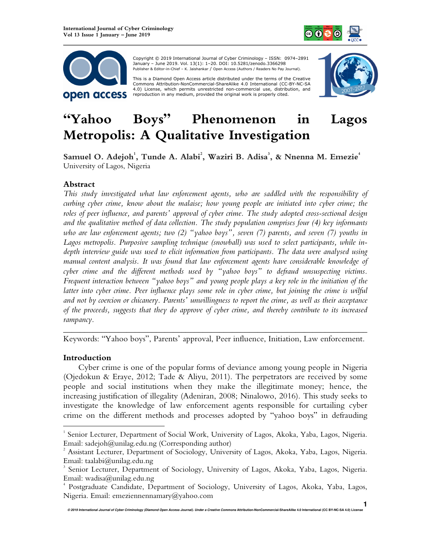



 Copyright © 2019 International Journal of Cyber Criminology – ISSN: 0974–2891 January – June 2019. Vol. 13(1): 1–20. DOI: 10.5281/zenodo.3366298 Publisher & Editor-in-Chief – K. Jaishankar / Open Access (Authors / Readers No Pay Journal).

This is a Diamond Open Access article distributed under the terms of the Creative<br>Commons Attribution-NonCommercial-ShareAlike 4.0 International (CC-BY-NC-SA 4.0) License, which permits unrestricted non-commercial use, distribution, and reproduction in any medium, provided the original work is properly cited.



# **"Yahoo Boys" Phenomenon in Lagos Metropolis: A Qualitative Investigation**

# **Samuel O. Adejoh<sup>1</sup> , Tunde A. Alabi<sup>2</sup> , Waziri B. Adisa<sup>3</sup> , & Nnenna M. Emezie<sup>4</sup>** University of Lagos, Nigeria

# **Abstract**

*This study investigated what law enforcement agents, who are saddled with the responsibility of curbing cyber crime, know about the malaise; how young people are initiated into cyber crime; the roles of peer influence, and parents' approval of cyber crime. The study adopted cross-sectional design and the qualitative method of data collection. The study population comprises four (4) key informants who are law enforcement agents; two (2) "yahoo boys", seven (7) parents, and seven (7) youths in Lagos metropolis. Purposive sampling technique (snowball) was used to select participants, while indepth interview guide was used to elicit information from participants. The data were analysed using manual content analysis. It was found that law enforcement agents have considerable knowledge of cyber crime and the different methods used by "yahoo boys" to defraud unsuspecting victims. Frequent interaction between "yahoo boys" and young people plays a key role in the initiation of the latter into cyber crime. Peer influence plays some role in cyber crime, but joining the crime is wilful and not by coercion or chicanery. Parents' unwillingness to report the crime, as well as their acceptance of the proceeds, suggests that they do approve of cyber crime, and thereby contribute to its increased rampancy.* 

*\_\_\_\_\_\_\_\_\_\_\_\_\_\_\_\_\_\_\_\_\_\_\_\_\_\_\_\_\_\_\_\_\_\_\_\_\_\_\_\_\_\_\_\_\_\_\_\_\_\_\_\_\_\_\_\_\_\_\_\_\_\_\_\_\_\_\_\_\_\_\_\_*  Keywords: "Yahoo boys", Parents' approval, Peer influence, Initiation, Law enforcement.

# **Introduction**

Cyber crime is one of the popular forms of deviance among young people in Nigeria (Ojedokun & Eraye, 2012; Tade & Aliyu, 2011). The perpetrators are received by some people and social institutions when they make the illegitimate money; hence, the increasing justification of illegality (Adeniran, 2008; Ninalowo, 2016). This study seeks to investigate the knowledge of law enforcement agents responsible for curtailing cyber crime on the different methods and processes adopted by "yahoo boys" in defrauding  $\overline{a}$ 

<sup>&</sup>lt;sup>1</sup> Senior Lecturer, Department of Social Work, University of Lagos, Akoka, Yaba, Lagos, Nigeria. Email: sadejoh $@$ unilag.edu.ng (Corresponding author)

<sup>&</sup>lt;sup>2</sup> Assistant Lecturer, Department of Sociology, University of Lagos, Akoka, Yaba, Lagos, Nigeria. Email: taalabi@unilag.edu.ng

<sup>3</sup> Senior Lecturer, Department of Sociology, University of Lagos, Akoka, Yaba, Lagos, Nigeria. Email: wadisa@unilag.edu.ng

<sup>4</sup> Postgraduate Candidate, Department of Sociology, University of Lagos, Akoka, Yaba, Lagos, Nigeria. Email: emeziennennamary@yahoo.com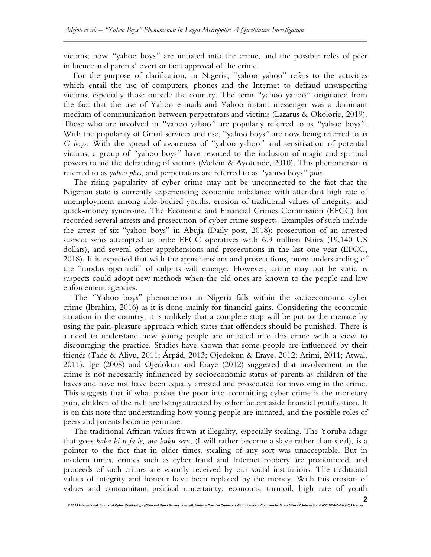victims; how *"*yahoo boys*"* are initiated into the crime, and the possible roles of peer influence and parents' overt or tacit approval of the crime.

For the purpose of clarification, in Nigeria, "yahoo yahoo" refers to the activities which entail the use of computers, phones and the Internet to defraud unsuspecting victims, especially those outside the country. The term *"*yahoo yahoo*"* originated from the fact that the use of Yahoo e-mails and Yahoo instant messenger was a dominant medium of communication between perpetrators and victims (Lazarus & Okolorie, 2019). Those who are involved in *"*yahoo yahoo*"* are popularly referred to as *"*yahoo boys*"*. With the popularity of Gmail services and use, "yahoo boys*"* are now being referred to as *G boys*. With the spread of awareness of *"*yahoo yahoo*"* and sensitisation of potential victims, a group of *"*yahoo boys*"* have resorted to the inclusion of magic and spiritual powers to aid the defrauding of victims (Melvin & Ayotunde, 2010). This phenomenon is referred to as *yahoo plus*, and perpetrators are referred to as *"*yahoo boys*" plus.*

The rising popularity of cyber crime may not be unconnected to the fact that the Nigerian state is currently experiencing economic imbalance with attendant high rate of unemployment among able-bodied youths, erosion of traditional values of integrity, and quick-money syndrome. The Economic and Financial Crimes Commission (EFCC) has recorded several arrests and prosecution of cyber crime suspects. Examples of such include the arrest of six "yahoo boys" in Abuja (Daily post, 2018); prosecution of an arrested suspect who attempted to bribe EFCC operatives with 6.9 million Naira (19,140 US dollars), and several other apprehensions and prosecutions in the last one year (EFCC, 2018). It is expected that with the apprehensions and prosecutions, more understanding of the "modus operandi" of culprits will emerge. However, crime may not be static as suspects could adopt new methods when the old ones are known to the people and law enforcement agencies.

The *"*Yahoo boys" phenomenon in Nigeria falls within the socioeconomic cyber crime (Ibrahim, 2016) as it is done mainly for financial gains. Considering the economic situation in the country, it is unlikely that a complete stop will be put to the menace by using the pain-pleasure approach which states that offenders should be punished. There is a need to understand how young people are initiated into this crime with a view to discouraging the practice. Studies have shown that some people are influenced by their friends (Tade & Aliyu, 2011; Árpád, 2013; Ojedokun & Eraye, 2012; Arimi, 2011; Atwal, 2011). Ige (2008) and Ojedokun and Eraye (2012) suggested that involvement in the crime is not necessarily influenced by socioeconomic status of parents as children of the haves and have not have been equally arrested and prosecuted for involving in the crime. This suggests that if what pushes the poor into committing cyber crime is the monetary gain, children of the rich are being attracted by other factors aside financial gratification. It is on this note that understanding how young people are initiated, and the possible roles of peers and parents become germane.

The traditional African values frown at illegality, especially stealing. The Yoruba adage that goes *kaka ki n ja le, ma kuku seru*, (I will rather become a slave rather than steal), is a pointer to the fact that in older times, stealing of any sort was unacceptable. But in modern times, crimes such as cyber fraud and Internet robbery are pronounced, and proceeds of such crimes are warmly received by our social institutions. The traditional values of integrity and honour have been replaced by the money. With this erosion of values and concomitant political uncertainty, economic turmoil, high rate of youth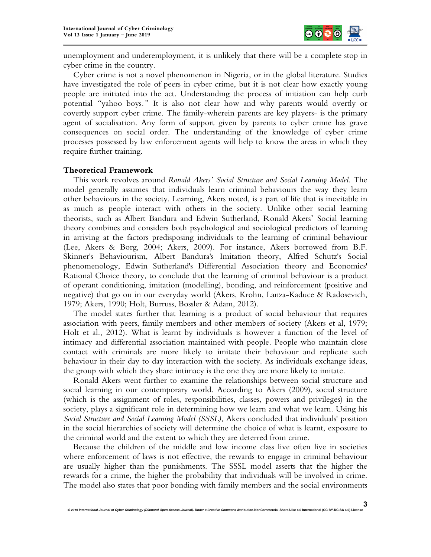

unemployment and underemployment, it is unlikely that there will be a complete stop in cyber crime in the country.

Cyber crime is not a novel phenomenon in Nigeria, or in the global literature. Studies have investigated the role of peers in cyber crime, but it is not clear how exactly young people are initiated into the act. Understanding the process of initiation can help curb potential *"*yahoo boys*."* It is also not clear how and why parents would overtly or covertly support cyber crime. The family-wherein parents are key players- is the primary agent of socialisation. Any form of support given by parents to cyber crime has grave consequences on social order. The understanding of the knowledge of cyber crime processes possessed by law enforcement agents will help to know the areas in which they require further training.

## **Theoretical Framework**

This work revolves around *Ronald Akers' Social Structure and Social Learning Model*. The model generally assumes that individuals learn criminal behaviours the way they learn other behaviours in the society. Learning, Akers noted, is a part of life that is inevitable in as much as people interact with others in the society. Unlike other social learning theorists, such as Albert Bandura and Edwin Sutherland, Ronald Akers' Social learning theory combines and considers both psychological and sociological predictors of learning in arriving at the factors predisposing individuals to the learning of criminal behaviour (Lee, Akers & Borg, 2004; Akers, 2009). For instance, Akers borrowed from B.F. Skinner's Behaviourism, Albert Bandura's Imitation theory, Alfred Schutz's Social phenomenology, Edwin Sutherland's Differential Association theory and Economics' Rational Choice theory, to conclude that the learning of criminal behaviour is a product of operant conditioning, imitation (modelling), bonding, and reinforcement (positive and negative) that go on in our everyday world (Akers, Krohn, Lanza-Kaduce & Radosevich, 1979; Akers, 1990; Holt, Burruss, Bossler & Adam, 2012).

The model states further that learning is a product of social behaviour that requires association with peers, family members and other members of society (Akers et al, 1979; Holt et al., 2012). What is learnt by individuals is however a function of the level of intimacy and differential association maintained with people. People who maintain close contact with criminals are more likely to imitate their behaviour and replicate such behaviour in their day to day interaction with the society. As individuals exchange ideas, the group with which they share intimacy is the one they are more likely to imitate.

Ronald Akers went further to examine the relationships between social structure and social learning in our contemporary world. According to Akers (2009), social structure (which is the assignment of roles, responsibilities, classes, powers and privileges) in the society, plays a significant role in determining how we learn and what we learn. Using his *Social Structure and Social Learning Model (SSSL)*, Akers concluded that individuals' position in the social hierarchies of society will determine the choice of what is learnt, exposure to the criminal world and the extent to which they are deterred from crime.

Because the children of the middle and low income class live often live in societies where enforcement of laws is not effective, the rewards to engage in criminal behaviour are usually higher than the punishments. The SSSL model asserts that the higher the rewards for a crime, the higher the probability that individuals will be involved in crime. The model also states that poor bonding with family members and the social environments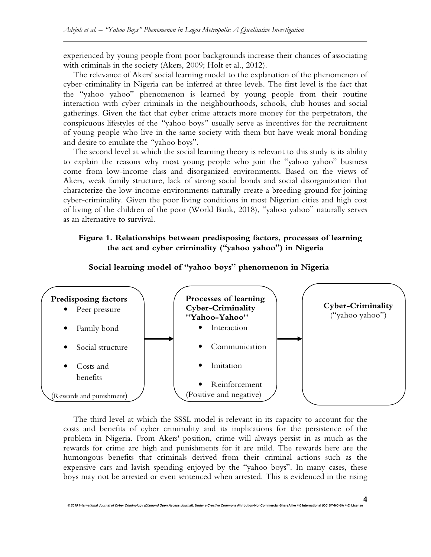experienced by young people from poor backgrounds increase their chances of associating with criminals in the society (Akers, 2009; Holt et al., 2012).

The relevance of Akers' social learning model to the explanation of the phenomenon of cyber-criminality in Nigeria can be inferred at three levels. The first level is the fact that the "yahoo yahoo" phenomenon is learned by young people from their routine interaction with cyber criminals in the neighbourhoods, schools, club houses and social gatherings. Given the fact that cyber crime attracts more money for the perpetrators, the conspicuous lifestyles of the *"*yahoo boys*"* usually serve as incentives for the recruitment of young people who live in the same society with them but have weak moral bonding and desire to emulate the *"*yahoo boys".

The second level at which the social learning theory is relevant to this study is its ability to explain the reasons why most young people who join the "yahoo yahoo" business come from low-income class and disorganized environments. Based on the views of Akers, weak family structure, lack of strong social bonds and social disorganization that characterize the low-income environments naturally create a breeding ground for joining cyber-criminality. Given the poor living conditions in most Nigerian cities and high cost of living of the children of the poor (World Bank, 2018), "yahoo yahoo" naturally serves as an alternative to survival.

# **Figure 1. Relationships between predisposing factors, processes of learning the act and cyber criminality ("yahoo yahoo") in Nigeria**



 **Social learning model of "yahoo boys" phenomenon in Nigeria** 

The third level at which the SSSL model is relevant in its capacity to account for the costs and benefits of cyber criminality and its implications for the persistence of the problem in Nigeria. From Akers' position, crime will always persist in as much as the rewards for crime are high and punishments for it are mild. The rewards here are the humongous benefits that criminals derived from their criminal actions such as the expensive cars and lavish spending enjoyed by the "yahoo boys". In many cases, these boys may not be arrested or even sentenced when arrested. This is evidenced in the rising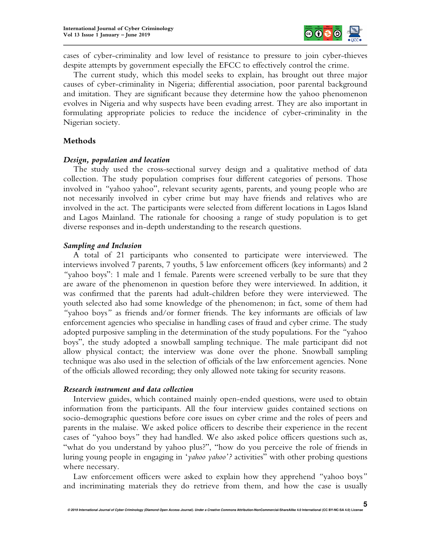

cases of cyber-criminality and low level of resistance to pressure to join cyber-thieves despite attempts by government especially the EFCC to effectively control the crime.

The current study, which this model seeks to explain, has brought out three major causes of cyber-criminality in Nigeria; differential association, poor parental background and imitation. They are significant because they determine how the yahoo phenomenon evolves in Nigeria and why suspects have been evading arrest. They are also important in formulating appropriate policies to reduce the incidence of cyber-criminality in the Nigerian society.

## **Methods**

## *Design, population and location*

The study used the cross-sectional survey design and a qualitative method of data collection. The study population comprises four different categories of persons. Those involved in *"*yahoo yahoo", relevant security agents*,* parents, and young people who are not necessarily involved in cyber crime but may have friends and relatives who are involved in the act. The participants were selected from different locations in Lagos Island and Lagos Mainland. The rationale for choosing a range of study population is to get diverse responses and in-depth understanding to the research questions.

## *Sampling and Inclusion*

A total of 21 participants who consented to participate were interviewed. The interviews involved 7 parents, 7 youths, 5 law enforcement officers (key informants) and 2 *"*yahoo boys": 1 male and 1 female. Parents were screened verbally to be sure that they are aware of the phenomenon in question before they were interviewed. In addition, it was confirmed that the parents had adult-children before they were interviewed. The youth selected also had some knowledge of the phenomenon; in fact, some of them had *"*yahoo boys*"* as friends and/or former friends. The key informants are officials of law enforcement agencies who specialise in handling cases of fraud and cyber crime. The study adopted purposive sampling in the determination of the study populations. For the *"*yahoo boys", the study adopted a snowball sampling technique. The male participant did not allow physical contact; the interview was done over the phone. Snowball sampling technique was also used in the selection of officials of the law enforcement agencies. None of the officials allowed recording; they only allowed note taking for security reasons.

## *Research instrument and data collection*

Interview guides, which contained mainly open-ended questions, were used to obtain information from the participants. All the four interview guides contained sections on socio-demographic questions before core issues on cyber crime and the roles of peers and parents in the malaise. We asked police officers to describe their experience in the recent cases of *"*yahoo boys*"* they had handled. We also asked police officers questions such as, "what do you understand by yahoo plus?", "how do you perceive the role of friends in luring young people in engaging in '*yahoo yahoo'?* activities" with other probing questions where necessary.

Law enforcement officers were asked to explain how they apprehend *"*yahoo boys*"* and incriminating materials they do retrieve from them, and how the case is usually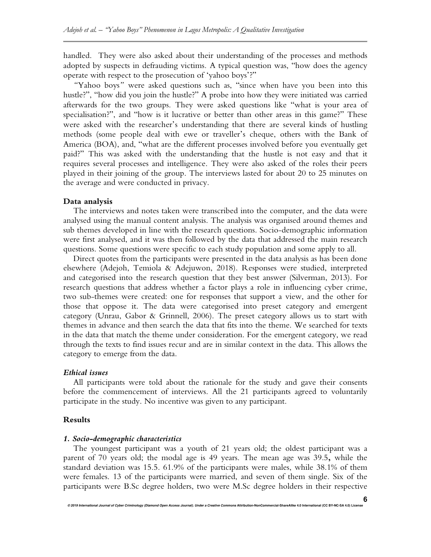handled. They were also asked about their understanding of the processes and methods adopted by suspects in defrauding victims*.* A typical question was, "how does the agency operate with respect to the prosecution of 'yahoo boys'?"

*"*Yahoo boys*"* were asked questions such as, "since when have you been into this hustle?", "how did you join the hustle?" A probe into how they were initiated was carried afterwards for the two groups. They were asked questions like "what is your area of specialisation?", and "how is it lucrative or better than other areas in this game?" These were asked with the researcher's understanding that there are several kinds of hustling methods (some people deal with ewe or traveller's cheque, others with the Bank of America (BOA), and, "what are the different processes involved before you eventually get paid?" This was asked with the understanding that the hustle is not easy and that it requires several processes and intelligence. They were also asked of the roles their peers played in their joining of the group. The interviews lasted for about 20 to 25 minutes on the average and were conducted in privacy.

#### **Data analysis**

The interviews and notes taken were transcribed into the computer, and the data were analysed using the manual content analysis. The analysis was organised around themes and sub themes developed in line with the research questions. Socio-demographic information were first analysed, and it was then followed by the data that addressed the main research questions. Some questions were specific to each study population and some apply to all.

Direct quotes from the participants were presented in the data analysis as has been done elsewhere (Adejoh, Temiola & Adejuwon, 2018). Responses were studied, interpreted and categorised into the research question that they best answer (Silverman, 2013). For research questions that address whether a factor plays a role in influencing cyber crime, two sub-themes were created: one for responses that support a view, and the other for those that oppose it. The data were categorised into preset category and emergent category (Unrau, Gabor & Grinnell, 2006). The preset category allows us to start with themes in advance and then search the data that fits into the theme. We searched for texts in the data that match the theme under consideration. For the emergent category, we read through the texts to find issues recur and are in similar context in the data. This allows the category to emerge from the data.

#### *Ethical issues*

All participants were told about the rationale for the study and gave their consents before the commencement of interviews. All the 21 participants agreed to voluntarily participate in the study. No incentive was given to any participant.

#### **Results**

#### *1. Socio-demographic characteristics*

The youngest participant was a youth of 21 years old; the oldest participant was a parent of 70 years old; the modal age is 49 years. The mean age was 39.5**,** while the standard deviation was 15.5. 61.9% of the participants were males, while 38.1% of them were females. 13 of the participants were married, and seven of them single. Six of the participants were B.Sc degree holders, two were M.Sc degree holders in their respective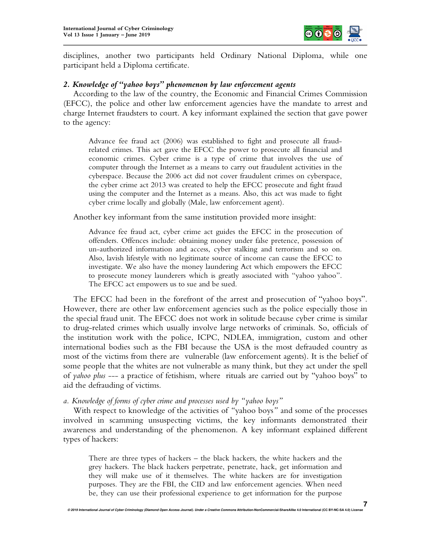

disciplines, another two participants held Ordinary National Diploma, while one participant held a Diploma certificate.

## *2. Knowledge of "yahoo boys" phenomenon by law enforcement agents*

According to the law of the country, the Economic and Financial Crimes Commission (EFCC), the police and other law enforcement agencies have the mandate to arrest and charge Internet fraudsters to court. A key informant explained the section that gave power to the agency:

Advance fee fraud act (2006) was established to fight and prosecute all fraudrelated crimes. This act gave the EFCC the power to prosecute all financial and economic crimes. Cyber crime is a type of crime that involves the use of computer through the Internet as a means to carry out fraudulent activities in the cyberspace. Because the 2006 act did not cover fraudulent crimes on cyberspace, the cyber crime act 2013 was created to help the EFCC prosecute and fight fraud using the computer and the Internet as a means. Also, this act was made to fight cyber crime locally and globally (Male, law enforcement agent).

Another key informant from the same institution provided more insight:

Advance fee fraud act, cyber crime act guides the EFCC in the prosecution of offenders. Offences include: obtaining money under false pretence, possession of un-authorized information and access, cyber stalking and terrorism and so on. Also, lavish lifestyle with no legitimate source of income can cause the EFCC to investigate. We also have the money laundering Act which empowers the EFCC to prosecute money launderers which is greatly associated with "yahoo yahoo". The EFCC act empowers us to sue and be sued.

The EFCC had been in the forefront of the arrest and prosecution of "yahoo boys". However, there are other law enforcement agencies such as the police especially those in the special fraud unit. The EFCC does not work in solitude because cyber crime is similar to drug-related crimes which usually involve large networks of criminals. So, officials of the institution work with the police, ICPC, NDLEA, immigration, custom and other international bodies such as the FBI because the USA is the most defrauded country as most of the victims from there are vulnerable (law enforcement agents). It is the belief of some people that the whites are not vulnerable as many think, but they act under the spell of *yahoo plus* --- a practice of fetishism, where rituals are carried out by "yahoo boys" to aid the defrauding of victims.

*a. Knowledge of forms of cyber crime and processes used by "yahoo boys"*

With respect to knowledge of the activities of *"*yahoo boys*"* and some of the processes involved in scamming unsuspecting victims, the key informants demonstrated their awareness and understanding of the phenomenon. A key informant explained different types of hackers:

There are three types of hackers – the black hackers, the white hackers and the grey hackers. The black hackers perpetrate, penetrate, hack, get information and they will make use of it themselves. The white hackers are for investigation purposes. They are the FBI, the CID and law enforcement agencies. When need be, they can use their professional experience to get information for the purpose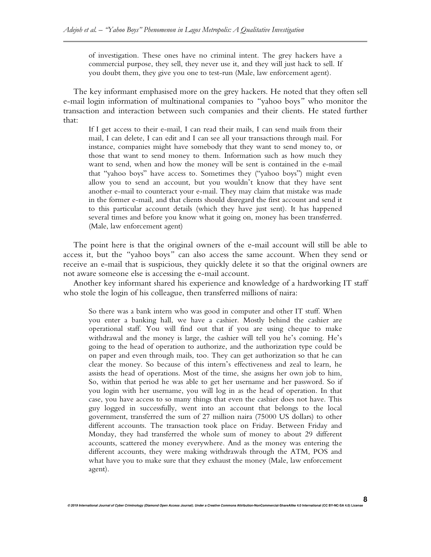of investigation. These ones have no criminal intent. The grey hackers have a commercial purpose, they sell, they never use it, and they will just hack to sell. If you doubt them, they give you one to test-run (Male, law enforcement agent).

The key informant emphasised more on the grey hackers. He noted that they often sell e-mail login information of multinational companies to *"*yahoo boys*"* who monitor the transaction and interaction between such companies and their clients. He stated further that:

If I get access to their e-mail, I can read their mails, I can send mails from their mail, I can delete, I can edit and I can see all your transactions through mail. For instance, companies might have somebody that they want to send money to, or those that want to send money to them. Information such as how much they want to send, when and how the money will be sent is contained in the e-mail that "yahoo boys" have access to. Sometimes they ("yahoo boys") might even allow you to send an account, but you wouldn't know that they have sent another e-mail to counteract your e-mail. They may claim that mistake was made in the former e-mail, and that clients should disregard the first account and send it to this particular account details (which they have just sent). It has happened several times and before you know what it going on, money has been transferred. (Male, law enforcement agent)

The point here is that the original owners of the e-mail account will still be able to access it, but the *"*yahoo boys*"* can also access the same account. When they send or receive an e-mail that is suspicious, they quickly delete it so that the original owners are not aware someone else is accessing the e-mail account.

Another key informant shared his experience and knowledge of a hardworking IT staff who stole the login of his colleague, then transferred millions of naira:

So there was a bank intern who was good in computer and other IT stuff. When you enter a banking hall, we have a cashier. Mostly behind the cashier are operational staff. You will find out that if you are using cheque to make withdrawal and the money is large, the cashier will tell you he's coming. He's going to the head of operation to authorize, and the authorization type could be on paper and even through mails, too. They can get authorization so that he can clear the money. So because of this intern's effectiveness and zeal to learn, he assists the head of operations. Most of the time, she assigns her own job to him, So, within that period he was able to get her username and her password. So if you login with her username, you will log in as the head of operation. In that case, you have access to so many things that even the cashier does not have. This guy logged in successfully, went into an account that belongs to the local government, transferred the sum of 27 million naira (75000 US dollars) to other different accounts. The transaction took place on Friday. Between Friday and Monday, they had transferred the whole sum of money to about 29 different accounts, scattered the money everywhere. And as the money was entering the different accounts, they were making withdrawals through the ATM, POS and what have you to make sure that they exhaust the money (Male, law enforcement agent).

**8**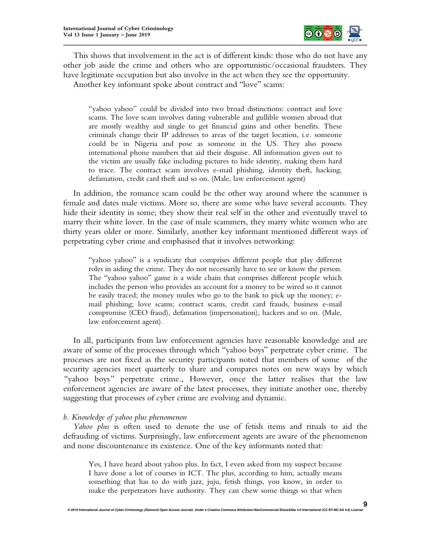

This shows that involvement in the act is of different kinds: those who do not have any other job aside the crime and others who are opportunistic/occasional fraudsters. They have legitimate occupation but also involve in the act when they see the opportunity.

Another key informant spoke about contract and "love" scams:

"yahoo yahoo" could be divided into two broad distinctions: contract and love scams. The love scam involves dating vulnerable and gullible women abroad that are mostly wealthy and single to get financial gains and other benefits. These criminals change their IP addresses to areas of the target location, i.e. someone could be in Nigeria and pose as someone in the US. They also possess international phone numbers that aid their disguise. All information given out to the victim are usually fake including pictures to hide identity, making them hard to trace. The contract scam involves e-mail phishing, identity theft, hacking, defamation, credit card theft and so on. (Male, law enforcement agent)

In addition, the romance scam could be the other way around where the scammer is female and dates male victims. More so, there are some who have several accounts. They hide their identity in some; they show their real self in the other and eventually travel to marry their white lover. In the case of male scammers, they marry white women who are thirty years older or more. Similarly, another key informant mentioned different ways of perpetrating cyber crime and emphasised that it involves networking:

"yahoo yahoo" is a syndicate that comprises different people that play different roles in aiding the crime. They do not necessarily have to see or know the person. The "yahoo yahoo" game is a wide chain that comprises different people which includes the person who provides an account for a money to be wired so it cannot be easily traced; the money mules who go to the bank to pick up the money; email phishing; love scams; contract scams, credit card frauds, business e-mail compromise (CEO fraud), defamation (impersonation), hackers and so on. (Male, law enforcement agent).

In all, participants from law enforcement agencies have reasonable knowledge and are aware of some of the processes through which "yahoo boys" perpetrate cyber crime. The processes are not fixed as the security participants noted that members of some of the security agencies meet quarterly to share and compares notes on new ways by which *"*yahoo boys*"* perpetrate crime., However, once the latter realises that the law enforcement agencies are aware of the latest processes, they initiate another one, thereby suggesting that processes of cyber crime are evolving and dynamic.

## *b. Knowledge of yahoo plus phenomenon*

*Yahoo plus* is often used to denote the use of fetish items and rituals to aid the defrauding of victims. Surprisingly, law enforcement agents are aware of the phenomenon and none discountenance its existence. One of the key informants noted that:

Yes, I have heard about yahoo plus. In fact, I even asked from my suspect because I have done a lot of courses in ICT. The plus, according to him, actually means something that has to do with jazz, juju, fetish things, you know, in order to make the perpetrators have authority. They can chew some things so that when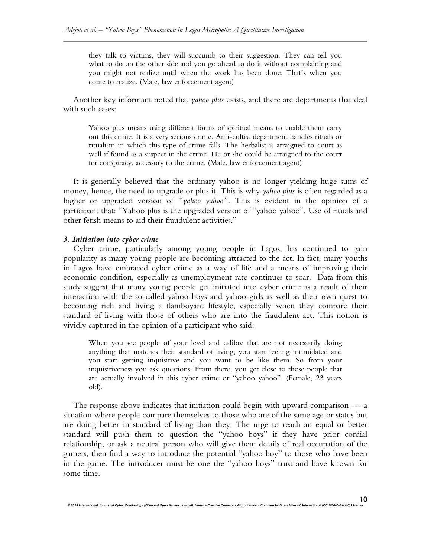they talk to victims, they will succumb to their suggestion. They can tell you what to do on the other side and you go ahead to do it without complaining and you might not realize until when the work has been done. That's when you come to realize. (Male, law enforcement agent)

Another key informant noted that *yahoo plus* exists, and there are departments that deal with such cases:

Yahoo plus means using different forms of spiritual means to enable them carry out this crime. It is a very serious crime. Anti-cultist department handles rituals or ritualism in which this type of crime falls. The herbalist is arraigned to court as well if found as a suspect in the crime. He or she could be arraigned to the court for conspiracy, accessory to the crime. (Male, law enforcement agent)

It is generally believed that the ordinary yahoo is no longer yielding huge sums of money, hence, the need to upgrade or plus it. This is why *yahoo plus* is often regarded as a higher or upgraded version of *"yahoo yahoo"*. This is evident in the opinion of a participant that: "Yahoo plus is the upgraded version of "yahoo yahoo". Use of rituals and other fetish means to aid their fraudulent activities."

## *3. Initiation into cyber crime*

Cyber crime, particularly among young people in Lagos, has continued to gain popularity as many young people are becoming attracted to the act. In fact, many youths in Lagos have embraced cyber crime as a way of life and a means of improving their economic condition, especially as unemployment rate continues to soar. Data from this study suggest that many young people get initiated into cyber crime as a result of their interaction with the so-called yahoo-boys and yahoo-girls as well as their own quest to becoming rich and living a flamboyant lifestyle, especially when they compare their standard of living with those of others who are into the fraudulent act. This notion is vividly captured in the opinion of a participant who said:

When you see people of your level and calibre that are not necessarily doing anything that matches their standard of living, you start feeling intimidated and you start getting inquisitive and you want to be like them. So from your inquisitiveness you ask questions. From there, you get close to those people that are actually involved in this cyber crime or "yahoo yahoo". (Female, 23 years old).

The response above indicates that initiation could begin with upward comparison --- a situation where people compare themselves to those who are of the same age or status but are doing better in standard of living than they. The urge to reach an equal or better standard will push them to question the "yahoo boys" if they have prior cordial relationship, or ask a neutral person who will give them details of real occupation of the gamers, then find a way to introduce the potential "yahoo boy" to those who have been in the game. The introducer must be one the "yahoo boys" trust and have known for some time.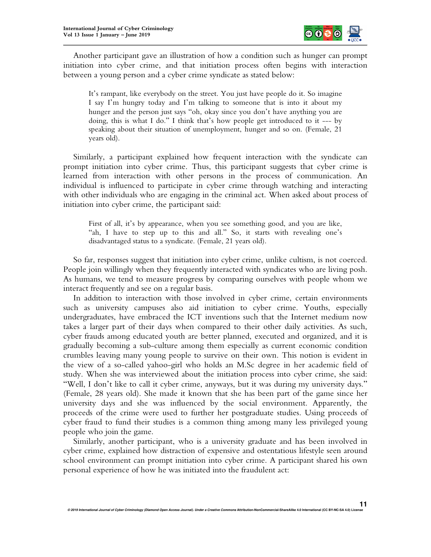

Another participant gave an illustration of how a condition such as hunger can prompt initiation into cyber crime, and that initiation process often begins with interaction between a young person and a cyber crime syndicate as stated below:

It's rampant, like everybody on the street. You just have people do it. So imagine I say I'm hungry today and I'm talking to someone that is into it about my hunger and the person just says "oh, okay since you don't have anything you are doing, this is what I do." I think that's how people get introduced to it --- by speaking about their situation of unemployment, hunger and so on. (Female, 21 years old).

Similarly, a participant explained how frequent interaction with the syndicate can prompt initiation into cyber crime. Thus, this participant suggests that cyber crime is learned from interaction with other persons in the process of communication. An individual is influenced to participate in cyber crime through watching and interacting with other individuals who are engaging in the criminal act. When asked about process of initiation into cyber crime, the participant said:

First of all, it's by appearance, when you see something good, and you are like, "ah, I have to step up to this and all." So, it starts with revealing one's disadvantaged status to a syndicate. (Female, 21 years old).

So far, responses suggest that initiation into cyber crime, unlike cultism, is not coerced. People join willingly when they frequently interacted with syndicates who are living posh. As humans, we tend to measure progress by comparing ourselves with people whom we interact frequently and see on a regular basis.

In addition to interaction with those involved in cyber crime, certain environments such as university campuses also aid initiation to cyber crime. Youths, especially undergraduates, have embraced the ICT inventions such that the Internet medium now takes a larger part of their days when compared to their other daily activities. As such, cyber frauds among educated youth are better planned, executed and organized, and it is gradually becoming a sub-culture among them especially as current economic condition crumbles leaving many young people to survive on their own. This notion is evident in the view of a so-called yahoo-girl who holds an M.Sc degree in her academic field of study. When she was interviewed about the initiation process into cyber crime, she said: "Well, I don't like to call it cyber crime, anyways, but it was during my university days." (Female, 28 years old). She made it known that she has been part of the game since her university days and she was influenced by the social environment. Apparently, the proceeds of the crime were used to further her postgraduate studies. Using proceeds of cyber fraud to fund their studies is a common thing among many less privileged young people who join the game.

Similarly, another participant, who is a university graduate and has been involved in cyber crime, explained how distraction of expensive and ostentatious lifestyle seen around school environment can prompt initiation into cyber crime. A participant shared his own personal experience of how he was initiated into the fraudulent act: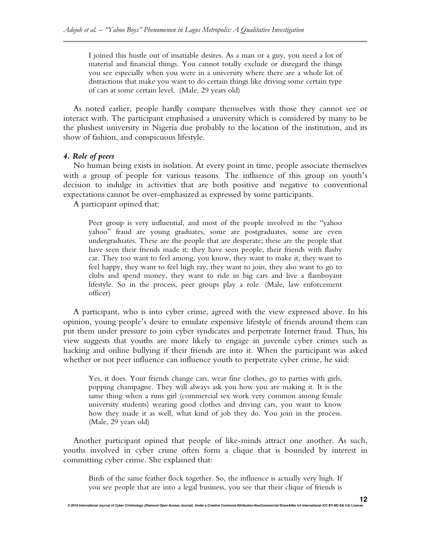I joined this hustle out of insatiable desires. As a man or a guy, you need a lot of material and financial things. You cannot totally exclude or disregard the things you see especially when you were in a university where there are a whole lot of distractions that make you want to do certain things like driving some certain type of cars at some certain level. (Male, 29 years old)

As noted earlier, people hardly compare themselves with those they cannot see or interact with. The participant emphasised a university which is considered by many to be the plushest university in Nigeria due probably to the location of the institution, and its show of fashion, and conspicuous lifestyle.

## *4. Role of peers*

No human being exists in isolation. At every point in time, people associate themselves with a group of people for various reasons. The influence of this group on youth's decision to indulge in activities that are both positive and negative to conventional expectations cannot be over-emphasized as expressed by some participants.

A participant opined that:

Peer group is very influential, and most of the people involved in the "yahoo yahoo" fraud are young graduates, some are postgraduates, some are even undergraduates. These are the people that are desperate; these are the people that have seen their friends made it; they have seen people, their friends with flashy car. They too want to feel among, you know, they want to make it, they want to feel happy, they want to feel high ray, they want to join, they also want to go to clubs and spend money, they want to ride in big cars and live a flamboyant lifestyle. So in the process, peer groups play a role. (Male, law enforcement officer)

A participant, who is into cyber crime, agreed with the view expressed above. In his opinion, young people's desire to emulate expensive lifestyle of friends around them can put them under pressure to join cyber syndicates and perpetrate Internet fraud. Thus, his view suggests that youths are more likely to engage in juvenile cyber crimes such as hacking and online bullying if their friends are into it. When the participant was asked whether or not peer influence can influence youth to perpetrate cyber crime, he said:

Yes, it does. Your friends change cars, wear fine clothes, go to parties with girls, popping champagne. They will always ask you how you are making it. It is the same thing when a runs girl (commercial sex work very common among female university students) wearing good clothes and driving cars, you want to know how they made it as well, what kind of job they do. You join in the process. (Male, 29 years old)

Another participant opined that people of like-minds attract one another. As such, youths involved in cyber crime often form a clique that is bounded by interest in committing cyber crime. She explained that:

Birds of the same feather flock together. So, the influence is actually very high. If you see people that are into a legal business, you see that their clique of friends is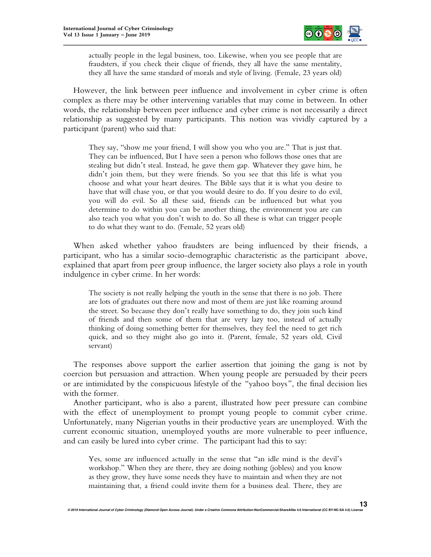

actually people in the legal business, too. Likewise, when you see people that are fraudsters, if you check their clique of friends, they all have the same mentality, they all have the same standard of morals and style of living. (Female, 23 years old)

However, the link between peer influence and involvement in cyber crime is often complex as there may be other intervening variables that may come in between. In other words, the relationship between peer influence and cyber crime is not necessarily a direct relationship as suggested by many participants. This notion was vividly captured by a participant (parent) who said that:

They say, "show me your friend, I will show you who you are." That is just that. They can be influenced, But I have seen a person who follows those ones that are stealing but didn't steal. Instead, he gave them gap. Whatever they gave him, he didn't join them, but they were friends. So you see that this life is what you choose and what your heart desires. The Bible says that it is what you desire to have that will chase you, or that you would desire to do. If you desire to do evil, you will do evil. So all these said, friends can be influenced but what you determine to do within you can be another thing, the environment you are can also teach you what you don't wish to do. So all these is what can trigger people to do what they want to do. (Female, 52 years old)

When asked whether yahoo fraudsters are being influenced by their friends, a participant, who has a similar socio-demographic characteristic as the participant above, explained that apart from peer group influence, the larger society also plays a role in youth indulgence in cyber crime. In her words:

The society is not really helping the youth in the sense that there is no job. There are lots of graduates out there now and most of them are just like roaming around the street. So because they don't really have something to do, they join such kind of friends and then some of them that are very lazy too, instead of actually thinking of doing something better for themselves, they feel the need to get rich quick, and so they might also go into it. (Parent, female, 52 years old, Civil servant)

The responses above support the earlier assertion that joining the gang is not by coercion but persuasion and attraction. When young people are persuaded by their peers or are intimidated by the conspicuous lifestyle of the *"*yahoo boys*"*, the final decision lies with the former.

Another participant, who is also a parent, illustrated how peer pressure can combine with the effect of unemployment to prompt young people to commit cyber crime. Unfortunately, many Nigerian youths in their productive years are unemployed. With the current economic situation, unemployed youths are more vulnerable to peer influence, and can easily be lured into cyber crime. The participant had this to say:

Yes, some are influenced actually in the sense that "an idle mind is the devil's workshop." When they are there, they are doing nothing (jobless) and you know as they grow, they have some needs they have to maintain and when they are not maintaining that, a friend could invite them for a business deal. There, they are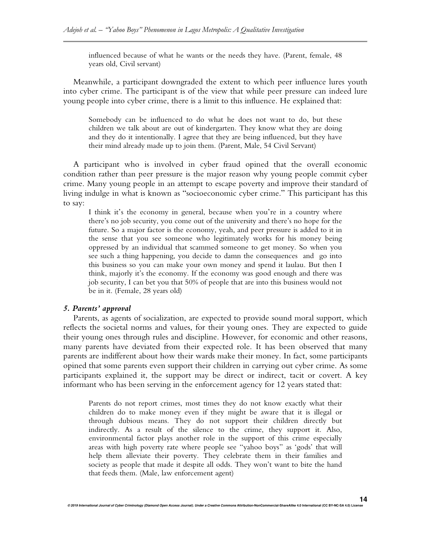influenced because of what he wants or the needs they have. (Parent, female, 48 years old, Civil servant)

Meanwhile, a participant downgraded the extent to which peer influence lures youth into cyber crime. The participant is of the view that while peer pressure can indeed lure young people into cyber crime, there is a limit to this influence. He explained that:

Somebody can be influenced to do what he does not want to do, but these children we talk about are out of kindergarten. They know what they are doing and they do it intentionally. I agree that they are being influenced, but they have their mind already made up to join them. (Parent, Male, 54 Civil Servant)

A participant who is involved in cyber fraud opined that the overall economic condition rather than peer pressure is the major reason why young people commit cyber crime. Many young people in an attempt to escape poverty and improve their standard of living indulge in what is known as "socioeconomic cyber crime." This participant has this to say:

I think it's the economy in general, because when you're in a country where there's no job security, you come out of the university and there's no hope for the future. So a major factor is the economy, yeah, and peer pressure is added to it in the sense that you see someone who legitimately works for his money being oppressed by an individual that scammed someone to get money. So when you see such a thing happening, you decide to damn the consequences and go into this business so you can make your own money and spend it laulau. But then I think, majorly it's the economy. If the economy was good enough and there was job security, I can bet you that 50% of people that are into this business would not be in it. (Female, 28 years old)

#### *5. Parents' approval*

Parents, as agents of socialization, are expected to provide sound moral support, which reflects the societal norms and values, for their young ones. They are expected to guide their young ones through rules and discipline. However, for economic and other reasons, many parents have deviated from their expected role. It has been observed that many parents are indifferent about how their wards make their money. In fact, some participants opined that some parents even support their children in carrying out cyber crime. As some participants explained it, the support may be direct or indirect, tacit or covert. A key informant who has been serving in the enforcement agency for 12 years stated that:

Parents do not report crimes, most times they do not know exactly what their children do to make money even if they might be aware that it is illegal or through dubious means. They do not support their children directly but indirectly. As a result of the silence to the crime, they support it. Also, environmental factor plays another role in the support of this crime especially areas with high poverty rate where people see "yahoo boys" as 'gods' that will help them alleviate their poverty. They celebrate them in their families and society as people that made it despite all odds. They won't want to bite the hand that feeds them. (Male, law enforcement agent)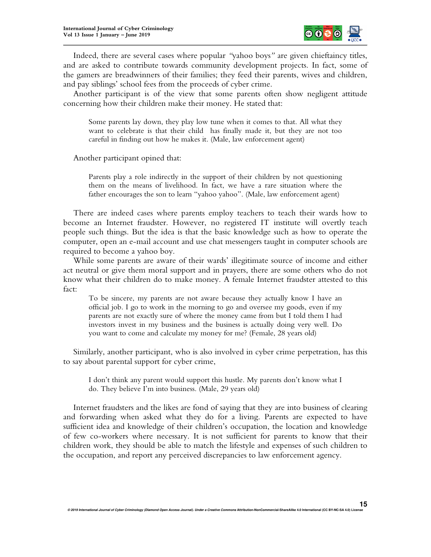

Indeed, there are several cases where popular *"*yahoo boys*"* are given chieftaincy titles, and are asked to contribute towards community development projects. In fact, some of the gamers are breadwinners of their families; they feed their parents, wives and children, and pay siblings' school fees from the proceeds of cyber crime.

Another participant is of the view that some parents often show negligent attitude concerning how their children make their money. He stated that:

Some parents lay down, they play low tune when it comes to that. All what they want to celebrate is that their child has finally made it, but they are not too careful in finding out how he makes it. (Male, law enforcement agent)

Another participant opined that:

Parents play a role indirectly in the support of their children by not questioning them on the means of livelihood. In fact, we have a rare situation where the father encourages the son to learn "yahoo yahoo". (Male, law enforcement agent)

There are indeed cases where parents employ teachers to teach their wards how to become an Internet fraudster. However, no registered IT institute will overtly teach people such things. But the idea is that the basic knowledge such as how to operate the computer, open an e-mail account and use chat messengers taught in computer schools are required to become a yahoo boy.

While some parents are aware of their wards' illegitimate source of income and either act neutral or give them moral support and in prayers, there are some others who do not know what their children do to make money. A female Internet fraudster attested to this fact:

To be sincere, my parents are not aware because they actually know I have an official job. I go to work in the morning to go and oversee my goods, even if my parents are not exactly sure of where the money came from but I told them I had investors invest in my business and the business is actually doing very well. Do you want to come and calculate my money for me? (Female, 28 years old)

Similarly, another participant, who is also involved in cyber crime perpetration, has this to say about parental support for cyber crime,

I don't think any parent would support this hustle. My parents don't know what I do. They believe I'm into business. (Male, 29 years old)

Internet fraudsters and the likes are fond of saying that they are into business of clearing and forwarding when asked what they do for a living. Parents are expected to have sufficient idea and knowledge of their children's occupation, the location and knowledge of few co-workers where necessary. It is not sufficient for parents to know that their children work, they should be able to match the lifestyle and expenses of such children to the occupation, and report any perceived discrepancies to law enforcement agency.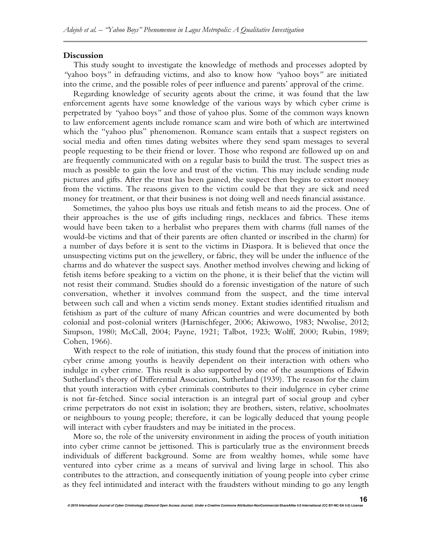#### **Discussion**

This study sought to investigate the knowledge of methods and processes adopted by *"*yahoo boys*"* in defrauding victims, and also to know how *"*yahoo boys*"* are initiated into the crime, and the possible roles of peer influence and parents' approval of the crime.

Regarding knowledge of security agents about the crime, it was found that the law enforcement agents have some knowledge of the various ways by which cyber crime is perpetrated by *"*yahoo boys*"* and those of yahoo plus. Some of the common ways known to law enforcement agents include romance scam and wire both of which are intertwined which the "yahoo plus" phenomenon. Romance scam entails that a suspect registers on social media and often times dating websites where they send spam messages to several people requesting to be their friend or lover. Those who respond are followed up on and are frequently communicated with on a regular basis to build the trust. The suspect tries as much as possible to gain the love and trust of the victim. This may include sending nude pictures and gifts. After the trust has been gained, the suspect then begins to extort money from the victims. The reasons given to the victim could be that they are sick and need money for treatment, or that their business is not doing well and needs financial assistance.

Sometimes, the yahoo plus boys use rituals and fetish means to aid the process. One of their approaches is the use of gifts including rings, necklaces and fabrics. These items would have been taken to a herbalist who prepares them with charms (full names of the would-be victims and that of their parents are often chanted or inscribed in the charm) for a number of days before it is sent to the victims in Diaspora. It is believed that once the unsuspecting victims put on the jewellery, or fabric, they will be under the influence of the charms and do whatever the suspect says. Another method involves chewing and licking of fetish items before speaking to a victim on the phone, it is their belief that the victim will not resist their command. Studies should do a forensic investigation of the nature of such conversation, whether it involves command from the suspect, and the time interval between such call and when a victim sends money. Extant studies identified ritualism and fetishism as part of the culture of many African countries and were documented by both colonial and post-colonial writers (Harnischfeger, 2006; Akiwowo, 1983; Nwolise, 2012; Simpson, 1980; McCall, 2004; Payne, 1921; Talbot, 1923; Wolff, 2000; Rubin, 1989; Cohen, 1966).

With respect to the role of initiation, this study found that the process of initiation into cyber crime among youths is heavily dependent on their interaction with others who indulge in cyber crime. This result is also supported by one of the assumptions of Edwin Sutherland's theory of Differential Association, Sutherland (1939). The reason for the claim that youth interaction with cyber criminals contributes to their indulgence in cyber crime is not far-fetched. Since social interaction is an integral part of social group and cyber crime perpetrators do not exist in isolation; they are brothers, sisters, relative, schoolmates or neighbours to young people; therefore, it can be logically deduced that young people will interact with cyber fraudsters and may be initiated in the process.

More so, the role of the university environment in aiding the process of youth initiation into cyber crime cannot be jettisoned. This is particularly true as the environment breeds individuals of different background. Some are from wealthy homes, while some have ventured into cyber crime as a means of survival and living large in school. This also contributes to the attraction, and consequently initiation of young people into cyber crime as they feel intimidated and interact with the fraudsters without minding to go any length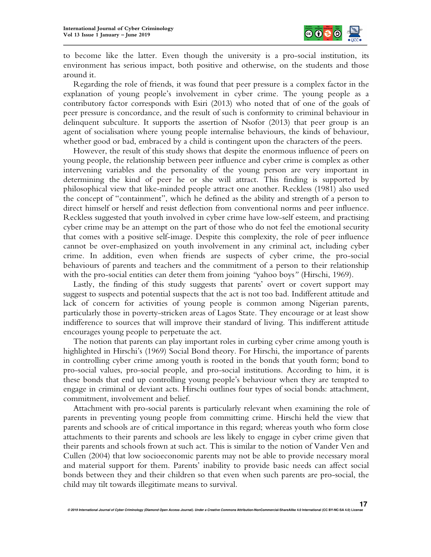

to become like the latter. Even though the university is a pro-social institution, its environment has serious impact, both positive and otherwise, on the students and those around it.

Regarding the role of friends, it was found that peer pressure is a complex factor in the explanation of young people's involvement in cyber crime. The young people as a contributory factor corresponds with Esiri (2013) who noted that of one of the goals of peer pressure is concordance, and the result of such is conformity to criminal behaviour in delinquent subculture. It supports the assertion of Nsofor (2013) that peer group is an agent of socialisation where young people internalise behaviours, the kinds of behaviour, whether good or bad, embraced by a child is contingent upon the characters of the peers.

However, the result of this study shows that despite the enormous influence of peers on young people, the relationship between peer influence and cyber crime is complex as other intervening variables and the personality of the young person are very important in determining the kind of peer he or she will attract. This finding is supported by philosophical view that like-minded people attract one another. Reckless (1981) also used the concept of "containment", which he defined as the ability and strength of a person to direct himself or herself and resist deflection from conventional norms and peer influence. Reckless suggested that youth involved in cyber crime have low-self esteem, and practising cyber crime may be an attempt on the part of those who do not feel the emotional security that comes with a positive self-image. Despite this complexity, the role of peer influence cannot be over-emphasized on youth involvement in any criminal act, including cyber crime. In addition, even when friends are suspects of cyber crime, the pro-social behaviours of parents and teachers and the commitment of a person to their relationship with the pro-social entities can deter them from joining *"*yahoo boys*"* (Hirschi, 1969).

Lastly, the finding of this study suggests that parents' overt or covert support may suggest to suspects and potential suspects that the act is not too bad. Indifferent attitude and lack of concern for activities of young people is common among Nigerian parents, particularly those in poverty-stricken areas of Lagos State. They encourage or at least show indifference to sources that will improve their standard of living. This indifferent attitude encourages young people to perpetuate the act.

The notion that parents can play important roles in curbing cyber crime among youth is highlighted in Hirschi's (1969) Social Bond theory. For Hirschi, the importance of parents in controlling cyber crime among youth is rooted in the bonds that youth form; bond to pro-social values, pro-social people, and pro-social institutions. According to him, it is these bonds that end up controlling young people's behaviour when they are tempted to engage in criminal or deviant acts. Hirschi outlines four types of social bonds: attachment, commitment, involvement and belief.

Attachment with pro-social parents is particularly relevant when examining the role of parents in preventing young people from committing crime. Hirschi held the view that parents and schools are of critical importance in this regard; whereas youth who form close attachments to their parents and schools are less likely to engage in cyber crime given that their parents and schools frown at such act. This is similar to the notion of Vander Ven and Cullen (2004) that low socioeconomic parents may not be able to provide necessary moral and material support for them. Parents' inability to provide basic needs can affect social bonds between they and their children so that even when such parents are pro-social, the child may tilt towards illegitimate means to survival.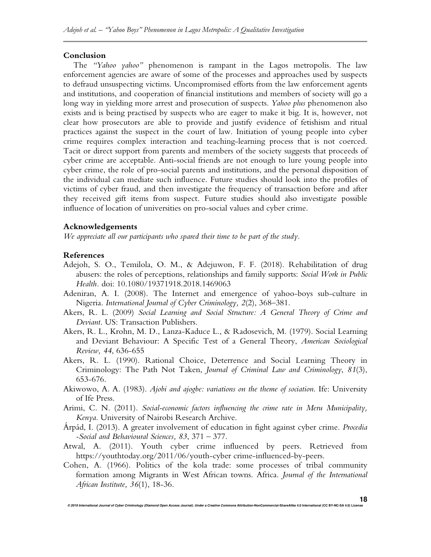#### **Conclusion**

The *"Yahoo yahoo"* phenomenon is rampant in the Lagos metropolis. The law enforcement agencies are aware of some of the processes and approaches used by suspects to defraud unsuspecting victims. Uncompromised efforts from the law enforcement agents and institutions, and cooperation of financial institutions and members of society will go a long way in yielding more arrest and prosecution of suspects. *Yahoo plus* phenomenon also exists and is being practised by suspects who are eager to make it big. It is, however, not clear how prosecutors are able to provide and justify evidence of fetishism and ritual practices against the suspect in the court of law. Initiation of young people into cyber crime requires complex interaction and teaching-learning process that is not coerced. Tacit or direct support from parents and members of the society suggests that proceeds of cyber crime are acceptable. Anti-social friends are not enough to lure young people into cyber crime, the role of pro-social parents and institutions, and the personal disposition of the individual can mediate such influence. Future studies should look into the profiles of victims of cyber fraud, and then investigate the frequency of transaction before and after they received gift items from suspect. Future studies should also investigate possible influence of location of universities on pro-social values and cyber crime.

## **Acknowledgements**

*We appreciate all our participants who spared their time to be part of the study.* 

## **References**

- Adejoh, S. O., Temilola, O. M., & Adejuwon, F. F. (2018). Rehabilitation of drug abusers: the roles of perceptions, relationships and family supports: *Social Work in Public Health.* doi: 10.1080/19371918.2018.1469063
- Adeniran, A. I. (2008). The Internet and emergence of yahoo-boys sub-culture in Nigeria. *International Journal of Cyber Criminology, 2*(2), 368–381.
- Akers, R. L. (2009) *Social Learning and Social Structure: A General Theory of Crime and Deviant*. US: Transaction Publishers.
- Akers, R. L., Krohn, M. D., Lanza-Kaduce L., & Radosevich, M. (1979). Social Learning and Deviant Behaviour: A Specific Test of a General Theory, *American Sociological Review, 44*, 636-655
- Akers, R. L. (1990). Rational Choice, Deterrence and Social Learning Theory in Criminology: The Path Not Taken, *Journal of Criminal Law and Criminology*, *81*(3), 653-676.
- Akiwowo, A. A. (1983). *Ajobi and ajogbe: variations on the theme of sociation*. Ife: University of Ife Press.
- Arimi, C. N. (2011). *Social-economic factors influencing the crime rate in Meru Municipality, Kenya*. University of Nairobi Research Archive.
- Árpád, I. (2013). A greater involvement of education in fight against cyber crime. *Procedia -Social and Behavioural Sciences, 83*, 371 – 377.
- Atwal, A. (2011). Youth cyber crime influenced by peers. Retrieved from https://youthtoday.org/2011/06/youth-cyber crime-influenced-by-peers.
- Cohen, A. (1966). Politics of the kola trade: some processes of tribal community formation among Migrants in West African towns. Africa. *Journal of the International African Institute, 36*(1), 18-36.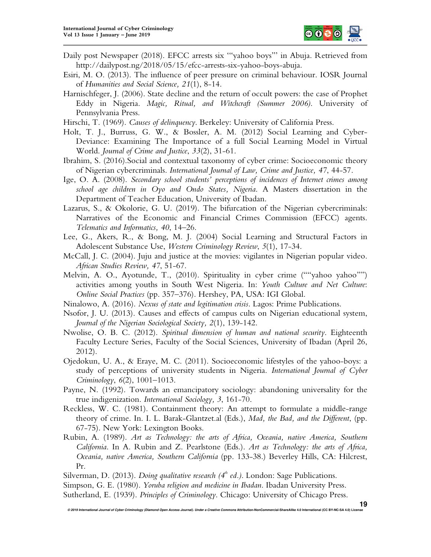

- Daily post Newspaper (2018). EFCC arrests six '"yahoo boys"' in Abuja. Retrieved from http://dailypost.ng/2018/05/15/efcc-arrests-six-yahoo-boys-abuja.
- Esiri, M. O. (2013). The influence of peer pressure on criminal behaviour. IOSR Journal of *Humanities and Social Science, 21*(1), 8-14.
- Harnischfeger, J. (2006). State decline and the return of occult powers: the case of Prophet Eddy in Nigeria. *Magic, Ritual, and Witchcraft (Summer 2006)*. University of Pennsylvania Press.
- Hirschi, T. (1969). *Causes of delinquency*. Berkeley: University of California Press.
- Holt, T. J., Burruss, G. W., & Bossler, A. M. (2012) Social Learning and Cyber-Deviance: Examining The Importance of a full Social Learning Model in Virtual World. *Journal of Crime and Justice*, *33*(2), 31-61.
- Ibrahim, S. (2016).Social and contextual taxonomy of cyber crime: Socioeconomic theory of Nigerian cybercriminals. *International Journal of Law, Crime and Justice, 47*, 44-57.
- Ige, O. A. (2008). *Secondary school students' perceptions of incidences of Internet crimes among school age children in Oyo and Ondo States, Nigeria*. A Masters dissertation in the Department of Teacher Education, University of Ibadan.
- Lazarus, S., & Okolorie, G. U. (2019). The bifurcation of the Nigerian cybercriminals: Narratives of the Economic and Financial Crimes Commission (EFCC) agents. *Telematics and Informatics, 40*, 14–26.
- Lee, G., Akers, R., & Bong, M. J. (2004) Social Learning and Structural Factors in Adolescent Substance Use, *Western Criminology Review*, *5*(1), 17-34.
- McCall, J. C. (2004). Juju and justice at the movies: vigilantes in Nigerian popular video. *African Studies Review, 47*, 51-67.
- Melvin, A. O., Ayotunde, T., (2010). Spirituality in cyber crime (""yahoo yahoo"") activities among youths in South West Nigeria. In: *Youth Culture and Net Culture*: *Online Social Practices* (pp. 357–376). Hershey, PA, USA: IGI Global.
- Ninalowo, A. (2016). *Nexus of state and legitimation crisis*. Lagos: Prime Publications.
- Nsofor, J. U. (2013). Causes and effects of campus cults on Nigerian educational system, *Journal of the Nigerian Sociological Society, 2*(1), 139-142.
- Nwolise, O. B. C. (2012). *Spiritual dimension of human and national security*. Eighteenth Faculty Lecture Series, Faculty of the Social Sciences, University of Ibadan (April 26, 2012).
- Ojedokun, U. A., & Eraye, M. C. (2011). Socioeconomic lifestyles of the yahoo-boys: a study of perceptions of university students in Nigeria. *International Journal of Cyber Criminology*, *6*(2), 1001–1013.
- Payne, N. (1992). Towards an emancipatory sociology: abandoning universality for the true indigenization. *International Sociology, 3*, 161-70.
- Reckless, W. C. (1981). Containment theory: An attempt to formulate a middle-range theory of crime. In. I. L. Barak-Glantzet.al (Eds.), *Mad, the Bad, and the Different*, (pp. 67-75). New York: Lexington Books.
- Rubin, A. (1989). *Art as Technology: the arts of Africa, Oceania, native America, Southern California*. In A. Rubin and Z. Pearlstone (Eds.). *Art as Technology: the arts of Africa, Oceania, native America, Southern California* (pp. 133-38.) Beverley Hills, CA: Hilcrest, Pr.

Silverman, D. (2013). *Doing qualitative research (4th ed.)*. London: Sage Publications. Simpson, G. E. (1980). *Yoruba religion and medicine in Ibadan*. Ibadan University Press. Sutherland, E. (1939). *Principles of Criminology*. Chicago: University of Chicago Press.